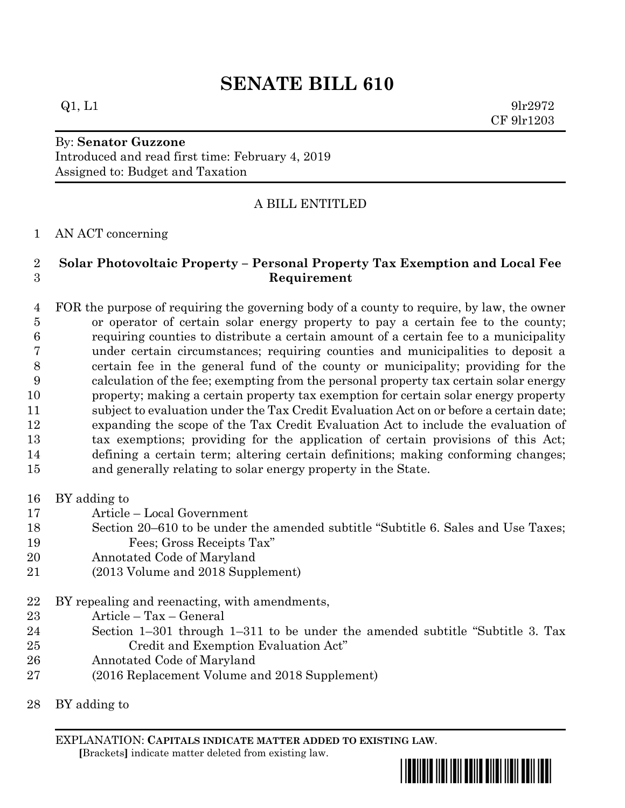# **SENATE BILL 610**

#### $Q1, L1$  9lr2972

CF 9lr1203

#### By: **Senator Guzzone** Introduced and read first time: February 4, 2019 Assigned to: Budget and Taxation

### A BILL ENTITLED

#### AN ACT concerning

#### **Solar Photovoltaic Property – Personal Property Tax Exemption and Local Fee Requirement**

 FOR the purpose of requiring the governing body of a county to require, by law, the owner or operator of certain solar energy property to pay a certain fee to the county; requiring counties to distribute a certain amount of a certain fee to a municipality under certain circumstances; requiring counties and municipalities to deposit a certain fee in the general fund of the county or municipality; providing for the calculation of the fee; exempting from the personal property tax certain solar energy property; making a certain property tax exemption for certain solar energy property subject to evaluation under the Tax Credit Evaluation Act on or before a certain date; expanding the scope of the Tax Credit Evaluation Act to include the evaluation of tax exemptions; providing for the application of certain provisions of this Act; defining a certain term; altering certain definitions; making conforming changes; and generally relating to solar energy property in the State.

- BY adding to
- Article Local Government
- Section 20–610 to be under the amended subtitle "Subtitle 6. Sales and Use Taxes; Fees; Gross Receipts Tax"
- Annotated Code of Maryland
- (2013 Volume and 2018 Supplement)

BY repealing and reenacting, with amendments,

- Article Tax General
- Section 1–301 through 1–311 to be under the amended subtitle "Subtitle 3. Tax Credit and Exemption Evaluation Act"
- Annotated Code of Maryland
- (2016 Replacement Volume and 2018 Supplement)

BY adding to

EXPLANATION: **CAPITALS INDICATE MATTER ADDED TO EXISTING LAW**.  **[**Brackets**]** indicate matter deleted from existing law.

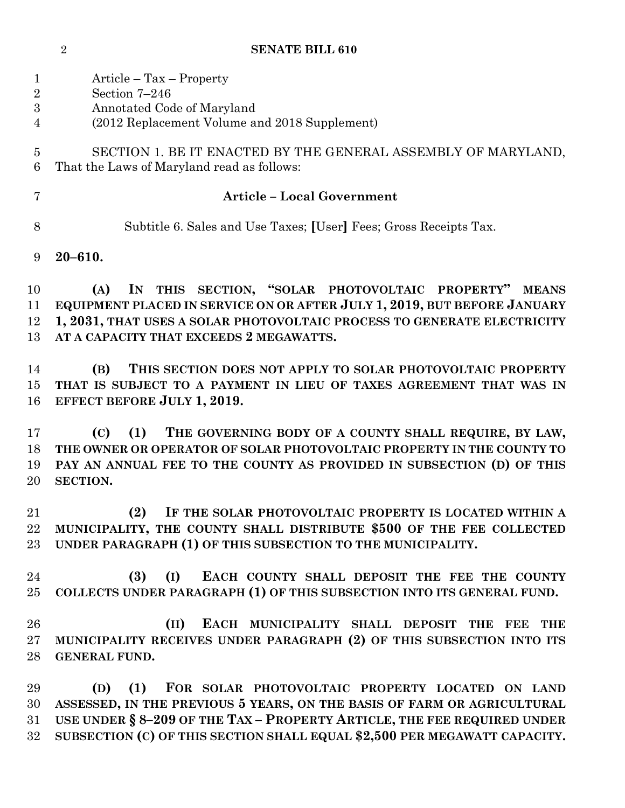**SENATE BILL 610**

| $\mathbf{1}$<br>$\overline{2}$<br>3<br>$\overline{4}$ | Article – Tax – Property<br>Section 7-246<br>Annotated Code of Maryland<br>(2012 Replacement Volume and 2018 Supplement)                                                                                                                                                                         |
|-------------------------------------------------------|--------------------------------------------------------------------------------------------------------------------------------------------------------------------------------------------------------------------------------------------------------------------------------------------------|
| $\overline{5}$<br>6                                   | SECTION 1. BE IT ENACTED BY THE GENERAL ASSEMBLY OF MARYLAND,<br>That the Laws of Maryland read as follows:                                                                                                                                                                                      |
| $\overline{7}$                                        | <b>Article - Local Government</b>                                                                                                                                                                                                                                                                |
| 8                                                     | Subtitle 6. Sales and Use Taxes; [User] Fees; Gross Receipts Tax.                                                                                                                                                                                                                                |
| 9                                                     | $20 - 610.$                                                                                                                                                                                                                                                                                      |
| 10<br>11<br>12<br>13                                  | IN THIS SECTION, "SOLAR PHOTOVOLTAIC PROPERTY"<br><b>MEANS</b><br>(A)<br>EQUIPMENT PLACED IN SERVICE ON OR AFTER JULY 1, 2019, BUT BEFORE JANUARY<br>1, 2031, THAT USES A SOLAR PHOTOVOLTAIC PROCESS TO GENERATE ELECTRICITY<br>AT A CAPACITY THAT EXCEEDS 2 MEGAWATTS.                          |
| 14<br>15<br>16                                        | THIS SECTION DOES NOT APPLY TO SOLAR PHOTOVOLTAIC PROPERTY<br>(B)<br>THAT IS SUBJECT TO A PAYMENT IN LIEU OF TAXES AGREEMENT THAT WAS IN<br><b>EFFECT BEFORE JULY 1, 2019.</b>                                                                                                                   |
| 17<br>18<br>19<br>20                                  | THE GOVERNING BODY OF A COUNTY SHALL REQUIRE, BY LAW,<br>(C)<br>(1)<br>THE OWNER OR OPERATOR OF SOLAR PHOTOVOLTAIC PROPERTY IN THE COUNTY TO<br>PAY AN ANNUAL FEE TO THE COUNTY AS PROVIDED IN SUBSECTION (D) OF THIS<br>SECTION.                                                                |
| 21<br>22                                              | IF THE SOLAR PHOTOVOLTAIC PROPERTY IS LOCATED WITHIN A<br>(2)<br>MUNICIPALITY, THE COUNTY SHALL DISTRIBUTE \$500 OF THE FEE COLLECTED<br>23 UNDER PARAGRAPH (1) OF THIS SUBSECTION TO THE MUNICIPALITY.                                                                                          |
| 24<br>25                                              | EACH COUNTY SHALL DEPOSIT THE FEE THE COUNTY<br>(3)<br>(I)<br>COLLECTS UNDER PARAGRAPH (1) OF THIS SUBSECTION INTO ITS GENERAL FUND.                                                                                                                                                             |
| 26<br>27<br>28                                        | (II)<br>EACH MUNICIPALITY SHALL DEPOSIT THE FEE<br>THE<br>MUNICIPALITY RECEIVES UNDER PARAGRAPH (2) OF THIS SUBSECTION INTO ITS<br><b>GENERAL FUND.</b>                                                                                                                                          |
| 29<br>30<br>31<br>32                                  | FOR SOLAR PHOTOVOLTAIC PROPERTY LOCATED ON LAND<br>(D)<br>(1)<br>ASSESSED, IN THE PREVIOUS 5 YEARS, ON THE BASIS OF FARM OR AGRICULTURAL<br>USE UNDER § 8-209 OF THE TAX - PROPERTY ARTICLE, THE FEE REQUIRED UNDER<br>SUBSECTION (C) OF THIS SECTION SHALL EQUAL \$2,500 PER MEGAWATT CAPACITY. |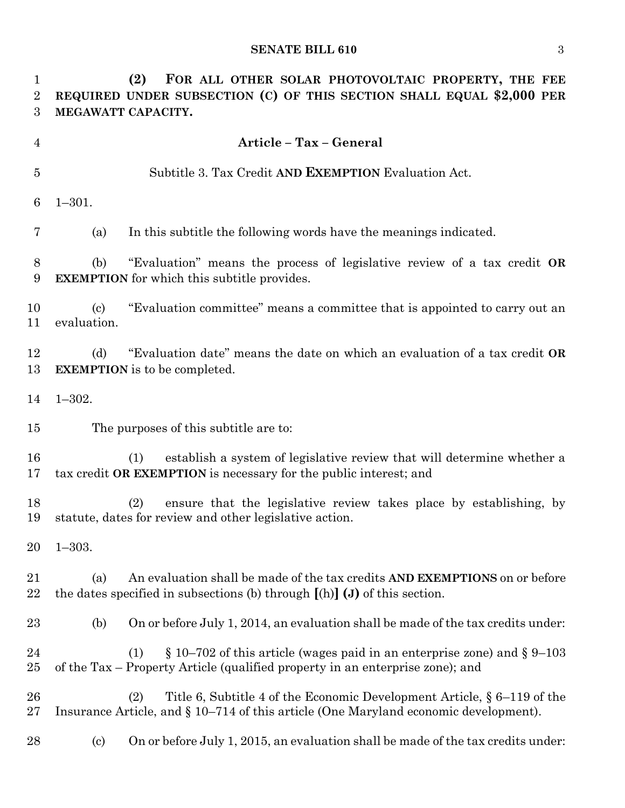#### **SENATE BILL 610** 3

 **(2) FOR ALL OTHER SOLAR PHOTOVOLTAIC PROPERTY, THE FEE REQUIRED UNDER SUBSECTION (C) OF THIS SECTION SHALL EQUAL \$2,000 PER MEGAWATT CAPACITY. Article – Tax – General** Subtitle 3. Tax Credit **AND EXEMPTION** Evaluation Act. 1–301. (a) In this subtitle the following words have the meanings indicated. (b) "Evaluation" means the process of legislative review of a tax credit **OR EXEMPTION** for which this subtitle provides. (c) "Evaluation committee" means a committee that is appointed to carry out an evaluation. (d) "Evaluation date" means the date on which an evaluation of a tax credit **OR EXEMPTION** is to be completed. 1–302. The purposes of this subtitle are to: (1) establish a system of legislative review that will determine whether a tax credit **OR EXEMPTION** is necessary for the public interest; and (2) ensure that the legislative review takes place by establishing, by statute, dates for review and other legislative action. 1–303. (a) An evaluation shall be made of the tax credits **AND EXEMPTIONS** on or before the dates specified in subsections (b) through **[**(h)**] (J)** of this section. (b) On or before July 1, 2014, an evaluation shall be made of the tax credits under: 24 (1) § 10–702 of this article (wages paid in an enterprise zone) and § 9–103 of the Tax – Property Article (qualified property in an enterprise zone); and (2) Title 6, Subtitle 4 of the Economic Development Article, § 6–119 of the Insurance Article, and § 10–714 of this article (One Maryland economic development). (c) On or before July 1, 2015, an evaluation shall be made of the tax credits under: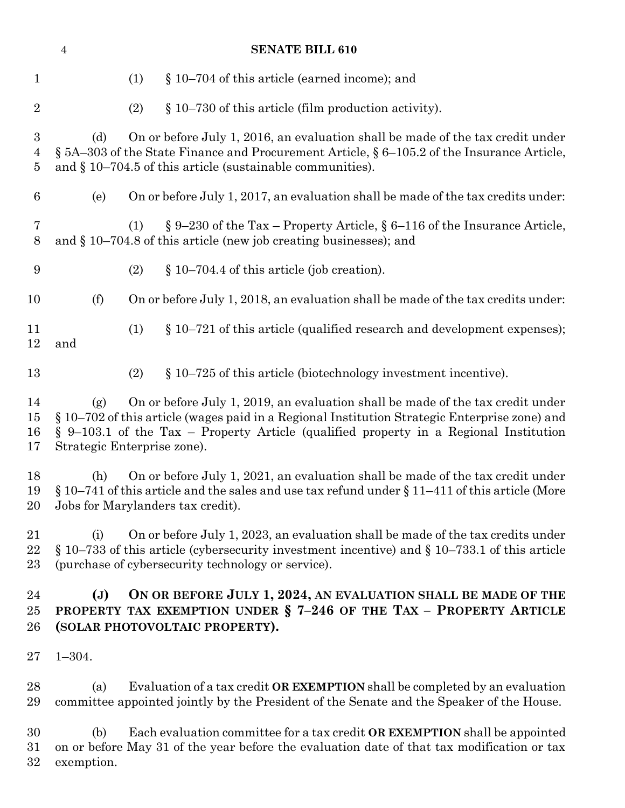|                                         | $\sqrt{4}$        | <b>SENATE BILL 610</b>                                                                                                                                                                                                                                                                                     |
|-----------------------------------------|-------------------|------------------------------------------------------------------------------------------------------------------------------------------------------------------------------------------------------------------------------------------------------------------------------------------------------------|
| $\mathbf{1}$                            |                   | § 10–704 of this article (earned income); and<br>(1)                                                                                                                                                                                                                                                       |
| $\overline{2}$                          |                   | $\S 10-730$ of this article (film production activity).<br>(2)                                                                                                                                                                                                                                             |
| $\boldsymbol{3}$<br>4<br>$\overline{5}$ | (d)               | On or before July 1, 2016, an evaluation shall be made of the tax credit under<br>$\S$ 5A–303 of the State Finance and Procurement Article, $\S$ 6–105.2 of the Insurance Article,<br>and $\S 10-704.5$ of this article (sustainable communities).                                                         |
| 6                                       | (e)               | On or before July 1, 2017, an evaluation shall be made of the tax credits under:                                                                                                                                                                                                                           |
| 7<br>8                                  |                   | $\S 9-230$ of the Tax – Property Article, $\S 6-116$ of the Insurance Article,<br>(1)<br>and $\S 10-704.8$ of this article (new job creating businesses); and                                                                                                                                              |
| 9                                       |                   | $\S 10-704.4$ of this article (job creation).<br>(2)                                                                                                                                                                                                                                                       |
| 10                                      | (f)               | On or before July 1, 2018, an evaluation shall be made of the tax credits under:                                                                                                                                                                                                                           |
| 11<br>12                                | and               | (1)<br>$\S 10-721$ of this article (qualified research and development expenses);                                                                                                                                                                                                                          |
| 13                                      |                   | $§$ 10–725 of this article (biotechnology investment incentive).<br>(2)                                                                                                                                                                                                                                    |
| 14<br>15<br>16<br>17                    | (g)               | On or before July 1, 2019, an evaluation shall be made of the tax credit under<br>§ 10–702 of this article (wages paid in a Regional Institution Strategic Enterprise zone) and<br>$\S$ 9–103.1 of the Tax – Property Article (qualified property in a Regional Institution<br>Strategic Enterprise zone). |
| 18<br>19<br>20                          | (h)               | On or before July 1, 2021, an evaluation shall be made of the tax credit under<br>$\S 10-741$ of this article and the sales and use tax refund under $\S 11-411$ of this article (More<br>Jobs for Marylanders tax credit).                                                                                |
| 21<br>$22\,$<br>23                      | (i)               | On or before July 1, 2023, an evaluation shall be made of the tax credits under<br>$\S 10-733$ of this article (cybersecurity investment incentive) and $\S 10-733.1$ of this article<br>(purchase of cybersecurity technology or service).                                                                |
| 24<br>$25\,$<br>26                      | (J)               | ON OR BEFORE JULY 1, 2024, AN EVALUATION SHALL BE MADE OF THE<br>PROPERTY TAX EXEMPTION UNDER $\S$ 7-246 OF THE TAX - PROPERTY ARTICLE<br>(SOLAR PHOTOVOLTAIC PROPERTY).                                                                                                                                   |
| $27\,$                                  | $1 - 304.$        |                                                                                                                                                                                                                                                                                                            |
| 28<br>29                                | (a)               | Evaluation of a tax credit OR EXEMPTION shall be completed by an evaluation<br>committee appointed jointly by the President of the Senate and the Speaker of the House.                                                                                                                                    |
| 30<br>31<br>32                          | (b)<br>exemption. | Each evaluation committee for a tax credit OR EXEMPTION shall be appointed<br>on or before May 31 of the year before the evaluation date of that tax modification or tax                                                                                                                                   |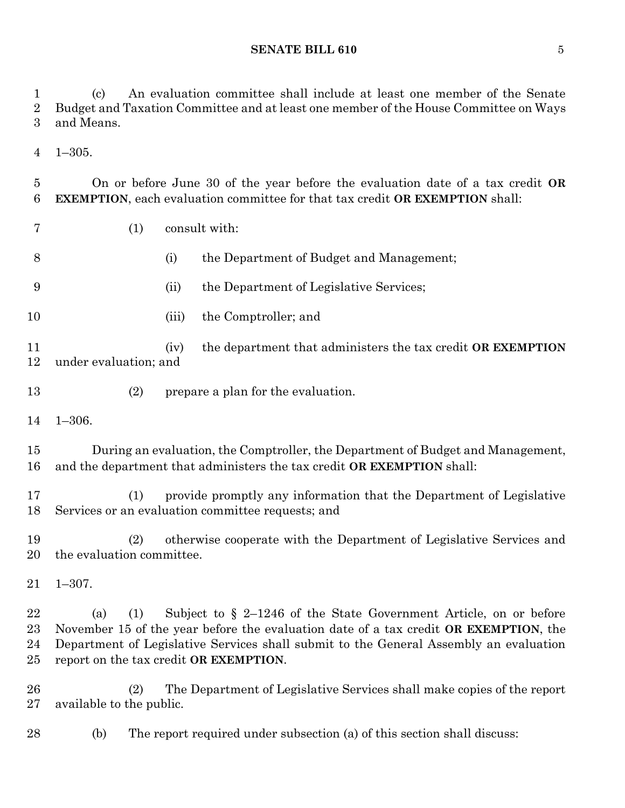**SENATE BILL 610** 5

 (c) An evaluation committee shall include at least one member of the Senate Budget and Taxation Committee and at least one member of the House Committee on Ways

 and Means. 1–305. On or before June 30 of the year before the evaluation date of a tax credit **OR EXEMPTION**, each evaluation committee for that tax credit **OR EXEMPTION** shall: (1) consult with: (i) the Department of Budget and Management; (ii) the Department of Legislative Services; 10 (iii) the Comptroller; and (iv) the department that administers the tax credit **OR EXEMPTION**  under evaluation; and (2) prepare a plan for the evaluation. 1–306. During an evaluation, the Comptroller, the Department of Budget and Management, and the department that administers the tax credit **OR EXEMPTION** shall: (1) provide promptly any information that the Department of Legislative Services or an evaluation committee requests; and (2) otherwise cooperate with the Department of Legislative Services and the evaluation committee. 1–307. (a) (1) Subject to § 2–1246 of the State Government Article, on or before November 15 of the year before the evaluation date of a tax credit **OR EXEMPTION**, the Department of Legislative Services shall submit to the General Assembly an evaluation report on the tax credit **OR EXEMPTION**. (2) The Department of Legislative Services shall make copies of the report available to the public.

(b) The report required under subsection (a) of this section shall discuss: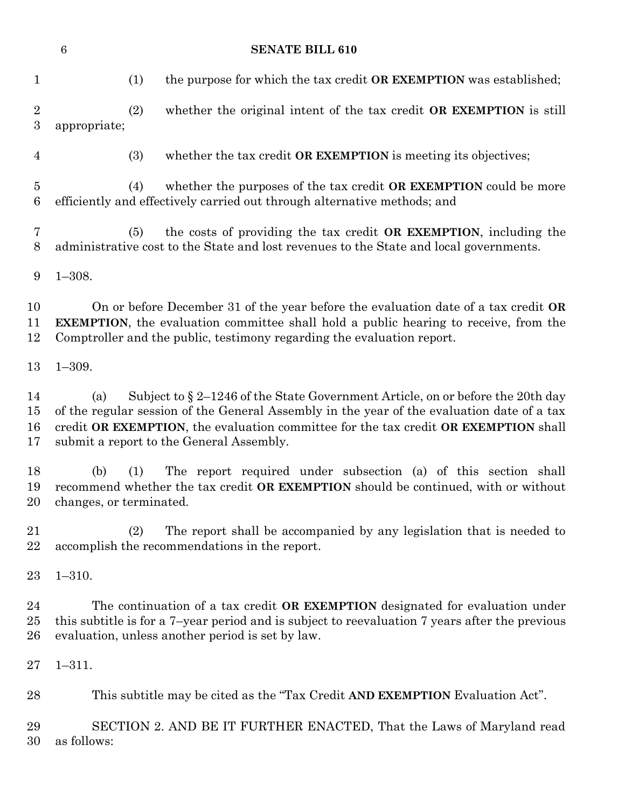|                                   | $\,6\,$<br><b>SENATE BILL 610</b>                                                                                                                                                                                                                                                                                         |
|-----------------------------------|---------------------------------------------------------------------------------------------------------------------------------------------------------------------------------------------------------------------------------------------------------------------------------------------------------------------------|
| $\mathbf{1}$                      | (1)<br>the purpose for which the tax credit <b>OR EXEMPTION</b> was established;                                                                                                                                                                                                                                          |
| $\sqrt{2}$<br>$\boldsymbol{3}$    | whether the original intent of the tax credit OR EXEMPTION is still<br>(2)<br>appropriate;                                                                                                                                                                                                                                |
| $\overline{4}$                    | (3)<br>whether the tax credit OR EXEMPTION is meeting its objectives;                                                                                                                                                                                                                                                     |
| $\overline{5}$<br>$6\phantom{.}6$ | whether the purposes of the tax credit OR EXEMPTION could be more<br>(4)<br>efficiently and effectively carried out through alternative methods; and                                                                                                                                                                      |
| 7<br>8                            | the costs of providing the tax credit OR EXEMPTION, including the<br>(5)<br>administrative cost to the State and lost revenues to the State and local governments.                                                                                                                                                        |
| 9                                 | $1 - 308.$                                                                                                                                                                                                                                                                                                                |
| 10<br>11<br>12                    | On or before December 31 of the year before the evaluation date of a tax credit OR<br><b>EXEMPTION</b> , the evaluation committee shall hold a public hearing to receive, from the<br>Comptroller and the public, testimony regarding the evaluation report.                                                              |
| 13                                | $1 - 309.$                                                                                                                                                                                                                                                                                                                |
| 14<br>15<br>16<br>17              | Subject to $\S 2-1246$ of the State Government Article, on or before the 20th day<br>(a)<br>of the regular session of the General Assembly in the year of the evaluation date of a tax<br>credit OR EXEMPTION, the evaluation committee for the tax credit OR EXEMPTION shall<br>submit a report to the General Assembly. |
| 18<br>19<br>20                    | The report required under subsection (a) of this section shall<br>(b)<br>(1)<br>recommend whether the tax credit OR EXEMPTION should be continued, with or without<br>changes, or terminated.                                                                                                                             |
| 21<br>22                          | The report shall be accompanied by any legislation that is needed to<br>(2)<br>accomplish the recommendations in the report.                                                                                                                                                                                              |
| $23\,$                            | $1 - 310.$                                                                                                                                                                                                                                                                                                                |
| 24<br>25<br>26                    | The continuation of a tax credit <b>OR EXEMPTION</b> designated for evaluation under<br>this subtitle is for a 7-year period and is subject to reevaluation 7 years after the previous<br>evaluation, unless another period is set by law.                                                                                |
| $27\,$                            | $1 - 311.$                                                                                                                                                                                                                                                                                                                |
| 28                                | This subtitle may be cited as the "Tax Credit AND EXEMPTION Evaluation Act".                                                                                                                                                                                                                                              |
| 29<br>30                          | SECTION 2. AND BE IT FURTHER ENACTED, That the Laws of Maryland read<br>as follows:                                                                                                                                                                                                                                       |
|                                   |                                                                                                                                                                                                                                                                                                                           |